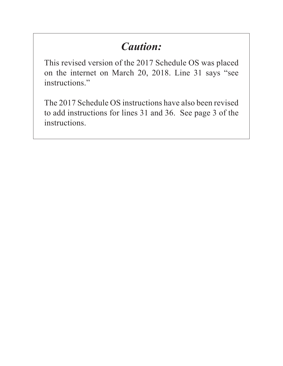# *Caution:*

This revised version of the 2017 Schedule OS was placed on the internet on March 20, 2018. Line 31 says "see instructions."

The 2017 Schedule OS instructions have also been revised to add instructions for lines 31 and 36. See page 3 of the instructions.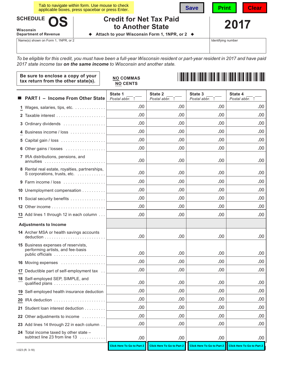| Tab to navigate within form. Use mouse to check<br><b>Save</b><br>applicable boxes, press spacebar or press Enter. |  |                                               | Print | <b>Clear</b> |  |
|--------------------------------------------------------------------------------------------------------------------|--|-----------------------------------------------|-------|--------------|--|
| SCHEDULE OS<br><b>Credit for Net Tax Paid</b><br>to Another State<br>Wisconsin                                     |  |                                               | 2017  |              |  |
| <b>Department of Revenue</b>                                                                                       |  | Attach to your Wisconsin Form 1, 1NPR, or 2 ♦ |       |              |  |

Name(s) shown on Form 1, 1NPR, or 2

Identifying number

*To be eligible for this credit, you must have been a full-year Wisconsin resident or part-year resident in 2017 and have paid 2017 state income tax on the same income to Wisconsin and another state.*

| Be sure to enclose a copy of your<br>tax return from the other state(s).                     | <b>NO COMMAS</b><br><b>NO CENTS</b> |                           |                           |                           |
|----------------------------------------------------------------------------------------------|-------------------------------------|---------------------------|---------------------------|---------------------------|
| <b>PART I - Income From Other State</b>                                                      | State 1<br>Postal abbr. 1           | State 2<br>Postal abbr. 1 | State 3<br>Postal abbr. 1 | State 4<br>Postal abbr. 1 |
| 1 Wages, salaries, tips, etc.                                                                | .00                                 | .00                       | .00                       | .00                       |
|                                                                                              | .00.                                | .00                       | .00                       | .00                       |
| 3 Ordinary dividends                                                                         | .00                                 | .00                       | .00                       | .00                       |
| 4 Business income / loss                                                                     | .00                                 | .00                       | .00                       | .00                       |
|                                                                                              | .00                                 | .00                       | .00                       | .00                       |
| 6 Other gains / losses                                                                       | .00.                                | .00                       | .00                       | .00                       |
| 7 IRA distributions, pensions, and<br>annuities                                              | .00                                 | .00                       | .00                       | .00                       |
| 8 Rental real estate, royalties, partnerships,<br>S corporations, trusts, etc.               | .00                                 | .00                       | .00                       | .00                       |
| 9 Farm income / loss                                                                         | .00.                                | .00                       | .00                       | .00                       |
| 10 Unemployment compensation                                                                 | .00.                                | .00                       | .00                       | .00                       |
| 11 Social security benefits                                                                  | .00.                                | .00                       | .00                       | .00                       |
|                                                                                              | .00                                 | .00                       | .00                       | .00                       |
| 13 Add lines 1 through 12 in each column                                                     | .00                                 | .00                       | .00                       | .00                       |
| <b>Adjustments to Income</b>                                                                 |                                     |                           |                           |                           |
| 14 Archer MSA or health savings accounts                                                     | .00                                 | .00                       | .00                       | .00                       |
| 15 Business expenses of reservists,<br>performing artists, and fee-basis<br>public officials | .00                                 | .00                       | .00                       | .00                       |
| 16 Moving expenses                                                                           | .00                                 | .00                       | .00                       | .00                       |
| 17 Deductible part of self-employment tax                                                    | .00                                 | .00                       | .00                       | .00                       |
| 18 Self-employed SEP, SIMPLE, and<br>qualified plans                                         | .00                                 | .00                       | .00                       | .00                       |
| 19 Self-employed health insurance deduction                                                  | .00.                                | .00                       | .00                       | .00                       |
| 20 IRA deduction                                                                             | .00                                 | .00                       | .00                       | .00.                      |
| 21 Student loan interest deduction                                                           | .00                                 | .00                       | .00                       | .00.                      |
| 22 Other adjustments to income                                                               | .00                                 | .00                       | .00                       | .00.                      |
| 23 Add lines 14 through 22 in each column                                                    | .00                                 | .00                       | .00                       | .00                       |
| 24 Total income taxed by other state -<br>subtract line 23 from line 13                      | .00.                                | .00                       | .00.                      | .00                       |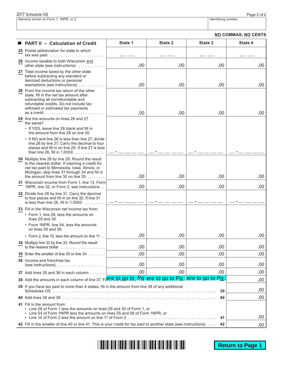| 2017 Schedule OS                    | Page 2 of 2        |
|-------------------------------------|--------------------|
| Name(s) shown on Form 1, 1NPR, or 2 | Identifving number |

| <b>NO COMMAS; NO CENTS</b> |  |
|----------------------------|--|
|----------------------------|--|

| <b>PART II - Calculation of Credit</b>                                                                                                                                                                                                                                                                                                    | State 1 | State 2            | State 3                   | State 4 |  |
|-------------------------------------------------------------------------------------------------------------------------------------------------------------------------------------------------------------------------------------------------------------------------------------------------------------------------------------------|---------|--------------------|---------------------------|---------|--|
| 25 Postal abbreviation for state to which<br>$tax was paid \dots \dots \dots \dots \dots \dots \dots$                                                                                                                                                                                                                                     |         |                    |                           |         |  |
| 26 Income taxable to both Wisconsin and<br>other state (see instructions)                                                                                                                                                                                                                                                                 | .00     | .00                | .00                       | .00     |  |
| 27 Total income taxed by the other state<br>before subtracting any standard or<br>itemized deductions or personal<br>exemptions (see instructions).                                                                                                                                                                                       | .00     | .00                | .00                       | .00     |  |
| 28 From the income tax return of the other<br>state, fill in the net tax amount after<br>subtracting all nonrefundable and<br>refundable credits. Do not include tax<br>withheld or estimated tax payments<br>as a credit $\ldots \ldots \ldots \ldots \ldots$                                                                            | .00     | .00                | .00                       | .00     |  |
| 29 Are the amounts on lines 26 and 27<br>the same?                                                                                                                                                                                                                                                                                        |         |                    |                           |         |  |
| • If YES, leave line 29 blank and fill in<br>the amount from line 28 on line 30                                                                                                                                                                                                                                                           |         |                    |                           |         |  |
| • If NO and line 26 is less than line 27, divide<br>line 26 by line 27. Carry the decimal to four<br>places and fill in on line 29. If line 27 is less<br>than line 26, fill in 1.0000                                                                                                                                                    |         |                    |                           |         |  |
| 30 Multiply line 28 by line 29. Round the result<br>to the nearest dollar. If claiming a credit for<br>net tax paid to Minnesota, Iowa, Illinois, or<br>Michigan, skip lines 31 through 34 and fill in<br>the amount from line 30 on line $35$                                                                                            | .00     | .00                | .00                       | .00     |  |
| 31 Wisconsin income from Form 1, line 13, Form<br>1NPR, line 32, or Form 2, see instructions                                                                                                                                                                                                                                              | .00     | .00                | .00                       | .00     |  |
| 32 Divide line 26 by line 31. Carry the decimal<br>to four places and fill in on line 32. If line 31<br>is less than line 26, fill in $1.0000$                                                                                                                                                                                            |         |                    |                           |         |  |
| 33 Fill in the Wisconsin net income tax from:<br>• Form 1, line 28, less the amounts on<br>lines 29 and 30<br>• Form 1NPR, line 54, less the amounts                                                                                                                                                                                      |         |                    |                           |         |  |
| on lines 55 and 56                                                                                                                                                                                                                                                                                                                        |         |                    |                           |         |  |
| . Form 2, line 10, less the amount on line 11                                                                                                                                                                                                                                                                                             | .00     | .00                | .00                       | .00     |  |
| 34 Multiply line 32 by line 33. Round the result<br>to the nearest dollar $\ldots \ldots \ldots \ldots \ldots \ldots$                                                                                                                                                                                                                     | .00     | .00                | .00                       | .00     |  |
| 35 Enter the smaller of line 30 or line 34                                                                                                                                                                                                                                                                                                | .00.    | .00                | .00                       | .00     |  |
| <b>36</b> Income and franchise tax<br>(see instructions) $\ldots \ldots \ldots \ldots \ldots \ldots$                                                                                                                                                                                                                                      | .00     | .00                | .00                       | .00     |  |
| 37 Add lines 35 and 36 in each column                                                                                                                                                                                                                                                                                                     | .00     | .00                | .00                       | .00     |  |
| 38 Add the amounts in each column of line 37. Fire to go to                                                                                                                                                                                                                                                                               |         | Pa ere to go to Pa | <u>Pq</u><br>ere to go to | .00     |  |
| 39 If you have tax paid to more than 4 states, fill in the amount from line 38 of any additional<br>39                                                                                                                                                                                                                                    |         |                    |                           |         |  |
| 40                                                                                                                                                                                                                                                                                                                                        |         |                    |                           |         |  |
| 41 Fill in the amount from:<br>Line 28 of Form 1 less the amounts on lines 29 and 30 of Form 1, or<br>• Line 54 of Form 1NPR less the amounts on lines 55 and 56 of Form 1NPR, or<br>• Line 10 of Form 2 less the amount on line 11 of Form 2 $\dots \dots \dots \dots \dots \dots \dots \dots \dots \dots \dots \dots \dots \dots$<br>41 |         |                    |                           |         |  |
| 42 Fill in the smaller of line 40 or line 41. This is your credit for tax paid to another state (see instructions)<br>42                                                                                                                                                                                                                  |         |                    |                           |         |  |

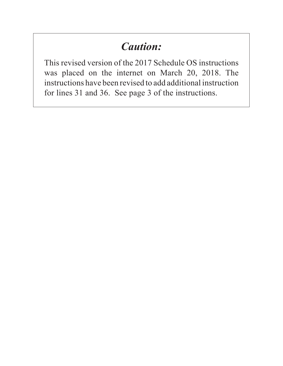## *Caution:*

This revised version of the 2017 Schedule OS instructions was placed on the internet on March 20, 2018. The instructions have been revised to add additional instruction for lines 31 and 36. See page 3 of the instructions.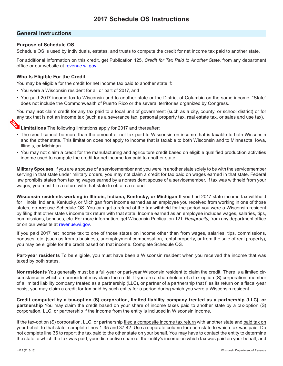## **General Instructions**

## **Purpose of Schedule OS**

Schedule OS is used by individuals, estates, and trusts to compute the credit for net income tax paid to another state.

For additional information on this credit, get Publication 125, *Credit for Tax Paid to Another State*, from any department office or our website at [revenue.wi.gov.](https://www.revenue.wi.gov)

## **Who Is Eligible For the Credit**

You may be eligible for the credit for net income tax paid to another state if:

- You were a Wisconsin resident for all or part of 2017, and
- You paid 2017 income tax to Wisconsin and to another state or the District of Columbia on the same income. "State" does not include the Commonwealth of Puerto Rico or the several territories organized by Congress.

You may **not** claim credit for any tax paid to a local unit of government (such as a city, county, or school district) or for any tax that is not an income tax (such as a severance tax, personal property tax, real estate tax, or sales and use tax).



**Limitations** The following limitations apply for 2017 and thereafter:

- The credit cannot be more than the amount of net tax paid to Wisconsin on income that is taxable to both Wisconsin and the other state. This limitation does not apply to income that is taxable to both Wisconsin and to Minnesota, Iowa, Illinois, or Michigan.
- You may not claim a credit for the manufacturing and agriculture credit based on eligible qualified production activities income used to compute the credit for net income tax paid to another state.

**Military Spouses** If you are a spouse of a servicemember and you were in another state solely to be with the servicemember serving in that state under military orders, you may not claim a credit for tax paid on wages earned in that state. Federal law prohibits states from taxing wages earned by a nonresident spouse of a servicemember. If tax was withheld from your wages, you must file a return with that state to obtain a refund.

**Wisconsin residents working in Illinois, Indiana, Kentucky, or Michigan** If you had 2017 state income tax withheld for Illinois, Indiana, Kentucky, or Michigan from income earned as an employee you received from working in one of those states, do **not** use Schedule OS. You can get a refund of the tax withheld for the period you were a Wisconsin resident by filing that other state's income tax return with that state. Income earned as an employee includes wages, salaries, tips, commissions, bonuses, etc. For more information, get Wisconsin Publication 121, *Reciprocity,* from any department office or on our website at [revenue.wi.gov](https://www.revenue.wi.gov).

If you paid 2017 net income tax to one of those states on income other than from wages, salaries, tips, commissions, bonuses, etc. (such as from a business, unemployment compensation, rental property, or from the sale of real property), you may be eligible for the credit based on that income. Complete Schedule OS.

**Part-year residents** To be eligible, you must have been a Wisconsin resident when you received the income that was taxed by both states.

**Nonresidents** You generally must be a full-year or part-year Wisconsin resident to claim the credit. There is a limited circumstance in which a nonresident may claim the credit. If you are a shareholder of a tax-option (S) corporation, member of a limited liability company treated as a partnership (LLC), or partner of a partnership that files its return on a fiscal-year basis, you may claim a credit for tax paid by such entity for a period during which you were a Wisconsin resident.

**Credit computed by a tax-option (S) corporation, limited liability company treated as a partnership (LLC), or partnership** You may claim the credit based on your share of income taxes paid to another state by a tax-option (S) corporation, LLC, or partnership if the income from the entity is included in Wisconsin income.

If the tax-option (S) corporation, LLC, or partnership filed a composite income tax return with another state and paid tax on your behalf to that state, complete lines 1-35 and 37-42. Use a separate column for each state to which tax was paid. Do not complete line 36 to report the tax paid to the other state on your behalf. You may have to contact the entity to determine the state to which the tax was paid, your distributive share of the entity's income on which tax was paid on your behalf, and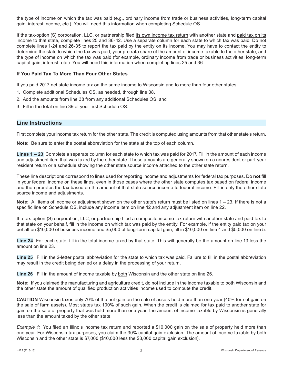the type of income on which the tax was paid (e.g., ordinary income from trade or business activities, long-term capital gain, interest income, etc.). You will need this information when completing Schedule OS.

If the tax-option (S) corporation, LLC, or partnership filed its own income tax return with another state and paid tax on its income to that state, complete lines 25 and 36-42. Use a separate column for each state to which tax was paid. Do not complete lines 1-24 and 26-35 to report the tax paid by the entity on its income. You may have to contact the entity to determine the state to which the tax was paid, your pro rata share of the amount of income taxable to the other state, and the type of income on which the tax was paid (for example, ordinary income from trade or business activities, long-term capital gain, interest, etc.). You will need this information when completing lines 25 and 36.

## **If You Paid Tax To More Than Four Other States**

If you paid 2017 net state income tax on the same income to Wisconsin and to more than four other states:

- 1. Complete additional Schedules OS, as needed, through line 38,
- 2. Add the amounts from line 38 from any additional Schedules OS, and
- 3. Fill in the total on line 39 of your first Schedule OS.

## **Line Instructions**

First complete your income tax return for the other state. The credit is computed using amounts from that other state's return.

**Note:** Be sure to enter the postal abbreviation for the state at the top of each column.

**Lines 1 – 23** Complete a separate column for each state to which tax was paid for 2017. Fill in the amount of each income and adjustment item that was taxed by the other state. These amounts are generally shown on a nonresident or part-year resident return or a schedule showing the other state source income attached to the other state return.

These line descriptions correspond to lines used for reporting income and adjustments for federal tax purposes. Do **not** fill in your federal income on these lines, even in those cases where the other state computes tax based on federal income and then prorates the tax based on the amount of that state source income to federal income. Fill in only the other state source income and adjustments.

**Note:** All items of income or adjustment shown on the other state's return must be listed on lines 1 – 23. If there is not a specific line on Schedule OS, include any income item on line 12 and any adjustment item on line 22.

If a tax-option (S) corporation, LLC, or partnership filed a composite income tax return with another state and paid tax to that state on your behalf, fill in the income on which tax was paid by the entity. For example, if the entity paid tax on your behalf on \$10,000 of business income and \$5,000 of long-term capital gain, fill in \$10,000 on line 4 and \$5,000 on line 5.

**Line 24** For each state, fill in the total income taxed by that state. This will generally be the amount on line 13 less the amount on line 23.

**Line 25** Fill in the 2-letter postal abbreviation for the state to which tax was paid. Failure to fill in the postal abbreviation may result in the credit being denied or a delay in the processing of your return.

**Line 26** Fill in the amount of income taxable by both Wisconsin and the other state on line 26.

**Note:** If you claimed the manufacturing and agriculture credit, do not include in the income taxable to both Wisconsin and the other state the amount of qualified production activities income used to compute the credit.

**CAUTION** Wisconsin taxes only 70% of the net gain on the sale of assets held more than one year (40% for net gain on the sale of farm assets). Most states tax 100% of such gain. When the credit is claimed for tax paid to another state for gain on the sale of property that was held more than one year, the amount of income taxable by Wisconsin is generally less than the amount taxed by the other state.

*Example 1:* You filed an Illinois income tax return and reported a \$10,000 gain on the sale of property held more than one year. For Wisconsin tax purposes, you claim the 30% capital gain exclusion. The amount of income taxable by both Wisconsin and the other state is \$7,000 (\$10,000 less the \$3,000 capital gain exclusion).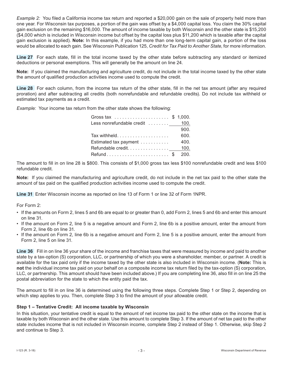*Example 2:* You filed a California income tax return and reported a \$20,000 gain on the sale of property held more than one year. For Wisconsin tax purposes, a portion of the gain was offset by a \$4,000 capital loss. You claim the 30% capital gain exclusion on the remaining \$16,000. The amount of income taxable by both Wisconsin and the other state is \$15,200 (\$4,000 which is included in Wisconsin income but offset by the capital loss plus \$11,200 which is taxable after the capital gain exclusion is applied). **Note:** In this example, if you had more than one long-term capital gain, a portion of the loss would be allocated to each gain. See Wisconsin Publication 125, *Credit for Tax Paid to Another State*, for more information.

**Line 27** For each state, fill in the total income taxed by the other state before subtracting any standard or itemized deductions or personal exemptions. This will generally be the amount on line 24.

**Note:** If you claimed the manufacturing and agriculture credit, do not include in the total income taxed by the other state the amount of qualified production activities income used to compute the credit.

**Line 28** For each column, from the income tax return of the other state, fill in the net tax amount (after any required proration) and after subtracting all credits (both nonrefundable and refundable credits). Do not include tax withheld or estimated tax payments as a credit.

*Example:* Your income tax return from the other state shows the following:

| Less nonrefundable credit  100. |      |
|---------------------------------|------|
|                                 | 900. |
| Tax withheld                    | 600. |
| Estimated tax payment           | 400. |
|                                 |      |
| Refund\$ 200.                   |      |

The amount to fill in on line 28 is \$800. This consists of \$1,000 gross tax less \$100 nonrefundable credit and less \$100 refundable credit.

**Note:** If you claimed the manufacturing and agriculture credit, do not include in the net tax paid to the other state the amount of tax paid on the qualified production activities income used to compute the credit.

**Line 31** Enter Wisconsin income as reported on line 13 of Form 1 or line 32 of Form 1NPR.

For Form 2:

- If the amounts on Form 2, lines 5 and 6b are equal to or greater than 0, add Form 2, lines 5 and 6b and enter this amount on line 31.
- If the amount on Form 2, line 5 is a negative amount and Form 2, line 6b is a positive amount, enter the amount from Form 2, line 6b on line 31.
- If the amount on Form 2, line 6b is a negative amount and Form 2, line 5 is a positive amount, enter the amount from Form 2, line 5 on line 31.

**Line 36** Fill in on line 36 your share of the income and franchise taxes that were measured by income and paid to another state by a tax-option (S) corporation, LLC, or partnership of which you were a shareholder, member, or partner. A credit is available for the tax paid only if the income taxed by the other state is also included in Wisconsin income. (**Note:** This is **not** the individual income tax paid on your behalf on a composite income tax return filed by the tax-option (S) corporation, LLC, or partnership. This amount should have been included above.) If you are completing line 36, also fill in on line 25 the postal abbreviation for the state to which the entity paid the tax.

The amount to fill in on line 36 is determined using the following three steps. Complete Step 1 or Step 2, depending on which step applies to you. Then, complete Step 3 to find the amount of your allowable credit.

### **Step 1 – Tentative Credit: All income taxable by Wisconsin**

In this situation, your tentative credit is equal to the amount of net income tax paid to the other state on the income that is taxable by both Wisconsin and the other state. Use this amount to complete Step 3. If the amount of net tax paid to the other state includes income that is not included in Wisconsin income, complete Step 2 instead of Step 1. Otherwise, skip Step 2 and continue to Step 3.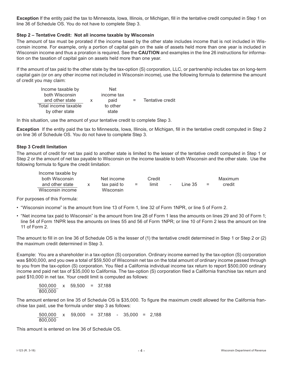**Exception** If the entity paid the tax to Minnesota, Iowa, Illinois, or Michigan, fll in the tentative credit computed in Step 1 on line 36 of Schedule OS. You do not have to complete Step 3.

### **Step 2 – Tentative Credit: Not all income taxable by Wisconsin**

The amount of tax must be prorated if the income taxed by the other state includes income that is not included in Wisconsin income. For example, only a portion of capital gain on the sale of assets held more than one year is included in Wisconsin income and thus a proration is required. See the **CAUTION** and examples in the line 26 instructions for information on the taxation of capital gain on assets held more than one year.

If the amount of tax paid to the other state by the tax-option (S) corporation, LLC, or partnership includes tax on long-term capital gain (or on any other income not included in Wisconsin income), use the following formula to determine the amount of credit you may claim:

| Income taxable by    | <b>Net</b> |     |                  |
|----------------------|------------|-----|------------------|
| both Wisconsin       | income tax |     |                  |
| and other state      | paid       | $=$ | Tentative credit |
| Total income taxable | to other   |     |                  |
| by other state       | state      |     |                  |

In this situation, use the amount of your tentative credit to complete Step 3.

**Exception** If the entity paid the tax to Minnesota, Iowa, Illinois, or Michigan, fll in the tentative credit computed in Step 2 on line 36 of Schedule OS. You do not have to complete Step 3.

### **Step 3 Credit limitation**

The amount of credit for net tax paid to another state is limited to the lesser of the tentative credit computed in Step 1 or Step 2 or the amount of net tax payable to Wisconsin on the income taxable to both Wisconsin and the other state. Use the following formula to figure the credit limitation:

| Income taxable by |             |     |        |        |           |     |         |
|-------------------|-------------|-----|--------|--------|-----------|-----|---------|
| both Wisconsin    | Net income  |     | Credit |        |           |     | Maximum |
| and other state   | tax paid to | $=$ | limit  | $\sim$ | Line $35$ | $=$ | credit  |
| Wisconsin income  | Wisconsin   |     |        |        |           |     |         |

For purposes of this Formula:

- "Wisconsin income" is the amount from line 13 of Form 1, line 32 of Form 1NPR, or line 5 of Form 2.
- "Net income tax paid to Wisconsin" is the amount from line 28 of Form 1 less the amounts on lines 29 and 30 of Form 1; line 54 of Form 1NPR less the amounts on lines 55 and 56 of Form 1NPR; or line 10 of Form 2 less the amount on line 11 of Form 2.

The amount to fill in on line 36 of Schedule OS is the lesser of (1) the tentative credit determined in Step 1 or Step 2 or (2) the maximum credit determined in Step 3.

Example: You are a shareholder in a tax-option (S) corporation. Ordinary income earned by the tax-option (S) corporation was \$800,000, and you owe a total of \$59,500 of Wisconsin net tax on the total amount of ordinary income passed through to you from the tax-option (S) corporation. You filed a California individual income tax return to report \$500,000 ordinary income and paid net tax of \$35,000 to California. The tax-option (S) corporation filed a California franchise tax return and paid \$10,000 in net tax. Your credit limit is computed as follows:

$$
\frac{500,000}{800,000} \times 59,500 = 37,188
$$

The amount entered on line 35 of Schedule OS is \$35,000. To figure the maximum credit allowed for the California franchise tax paid, use the formula under step 3 as follows:

500,000 x 59,000 = 37,188 - 35,000 = 2,188 800,000

This amount is entered on line 36 of Schedule OS.